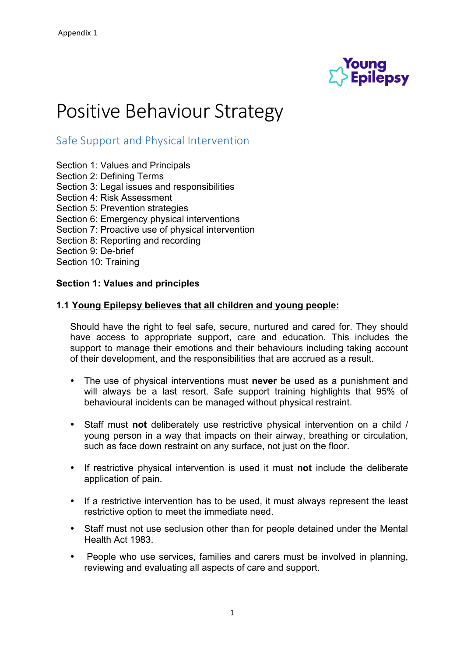

# Positive Behaviour Strategy

## Safe Support and Physical Intervention

- Section 1: Values and Principals
- Section 2: Defining Terms
- Section 3: Legal issues and responsibilities
- Section 4: Risk Assessment
- Section 5: Prevention strategies
- Section 6: Emergency physical interventions
- Section 7: Proactive use of physical intervention
- Section 8: Reporting and recording
- Section 9: De-brief
- Section 10: Training

#### **Section 1: Values and principles**

#### **1.1 Young Epilepsy believes that all children and young people:**

Should have the right to feel safe, secure, nurtured and cared for. They should have access to appropriate support, care and education. This includes the support to manage their emotions and their behaviours including taking account of their development, and the responsibilities that are accrued as a result.

- The use of physical interventions must **never** be used as a punishment and will always be a last resort. Safe support training highlights that 95% of behavioural incidents can be managed without physical restraint.
- Staff must **not** deliberately use restrictive physical intervention on a child / young person in a way that impacts on their airway, breathing or circulation, such as face down restraint on any surface, not just on the floor.
- If restrictive physical intervention is used it must **not** include the deliberate application of pain.
- If a restrictive intervention has to be used, it must always represent the least restrictive option to meet the immediate need.
- Staff must not use seclusion other than for people detained under the Mental Health Act 1983.
- People who use services, families and carers must be involved in planning, reviewing and evaluating all aspects of care and support.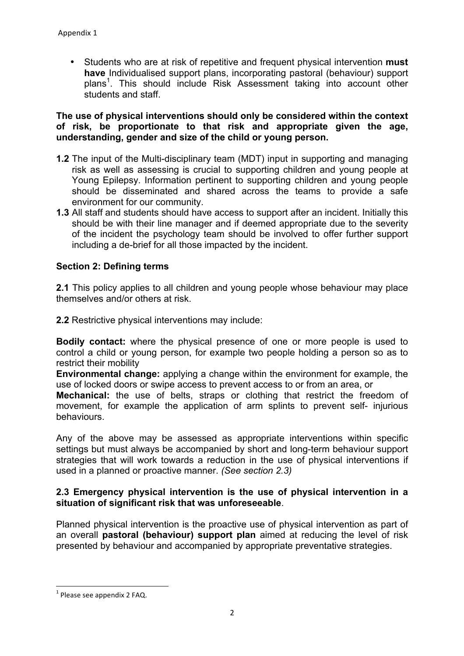• Students who are at risk of repetitive and frequent physical intervention **must have** Individualised support plans, incorporating pastoral (behaviour) support plans<sup>1</sup>. This should include Risk Assessment taking into account other students and staff.

#### **The use of physical interventions should only be considered within the context of risk, be proportionate to that risk and appropriate given the age, understanding, gender and size of the child or young person.**

- **1.2** The input of the Multi-disciplinary team (MDT) input in supporting and managing risk as well as assessing is crucial to supporting children and young people at Young Epilepsy. Information pertinent to supporting children and young people should be disseminated and shared across the teams to provide a safe environment for our community.
- **1.3** All staff and students should have access to support after an incident. Initially this should be with their line manager and if deemed appropriate due to the severity of the incident the psychology team should be involved to offer further support including a de-brief for all those impacted by the incident.

#### **Section 2: Defining terms**

**2.1** This policy applies to all children and young people whose behaviour may place themselves and/or others at risk.

**2.2** Restrictive physical interventions may include:

**Bodily contact:** where the physical presence of one or more people is used to control a child or young person, for example two people holding a person so as to restrict their mobility

**Environmental change:** applying a change within the environment for example, the use of locked doors or swipe access to prevent access to or from an area, or

**Mechanical:** the use of belts, straps or clothing that restrict the freedom of movement, for example the application of arm splints to prevent self- injurious behaviours.

Any of the above may be assessed as appropriate interventions within specific settings but must always be accompanied by short and long-term behaviour support strategies that will work towards a reduction in the use of physical interventions if used in a planned or proactive manner. *(See section 2.3)*

#### **2.3 Emergency physical intervention is the use of physical intervention in a situation of significant risk that was unforeseeable**.

Planned physical intervention is the proactive use of physical intervention as part of an overall **pastoral (behaviour) support plan** aimed at reducing the level of risk presented by behaviour and accompanied by appropriate preventative strategies.

<u> 1989 - Jan Samuel Barbara, político establecido de la provincia de la provincia de la provincia de la provinci</u>

 $<sup>1</sup>$  Please see appendix 2 FAQ.</sup>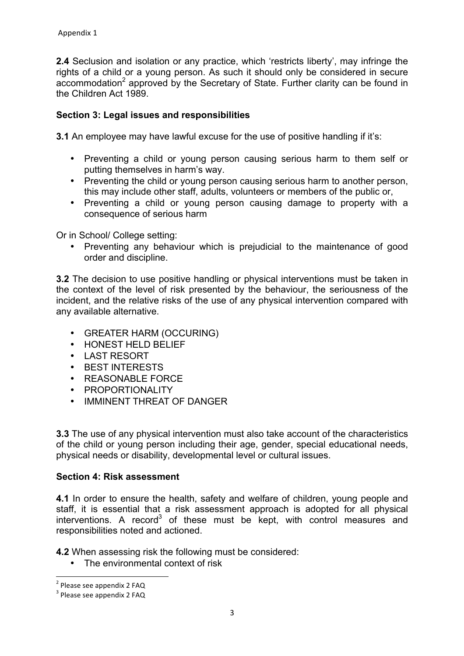**2.4** Seclusion and isolation or any practice, which 'restricts liberty', may infringe the rights of a child or a young person. As such it should only be considered in secure accommodation<sup>2</sup> approved by the Secretary of State. Further clarity can be found in the Children Act 1989.

## **Section 3: Legal issues and responsibilities**

**3.1** An employee may have lawful excuse for the use of positive handling if it's:

- Preventing a child or young person causing serious harm to them self or putting themselves in harm's way.
- Preventing the child or young person causing serious harm to another person, this may include other staff, adults, volunteers or members of the public or,
- Preventing a child or young person causing damage to property with a consequence of serious harm

Or in School/ College setting:

• Preventing any behaviour which is prejudicial to the maintenance of good order and discipline.

**3.2** The decision to use positive handling or physical interventions must be taken in the context of the level of risk presented by the behaviour, the seriousness of the incident, and the relative risks of the use of any physical intervention compared with any available alternative.

- GREATER HARM (OCCURING)
- HONEST HELD BELIEF
- LAST RESORT
- BEST INTERESTS
- REASONABLE FORCE
- PROPORTIONALITY
- IMMINENT THREAT OF DANGER

**3.3** The use of any physical intervention must also take account of the characteristics of the child or young person including their age, gender, special educational needs, physical needs or disability, developmental level or cultural issues.

#### **Section 4: Risk assessment**

**4.1** In order to ensure the health, safety and welfare of children, young people and staff, it is essential that a risk assessment approach is adopted for all physical interventions. A record<sup>3</sup> of these must be kept, with control measures and responsibilities noted and actioned.

**4.2** When assessing risk the following must be considered:

• The environmental context of risk

<u> 1989 - Jan Samuel Barbara, político establecido de la provincia de la provincia de la provincia de la provinci</u>

 $2$  Please see appendix 2 FAQ

 $3$  Please see appendix 2 FAQ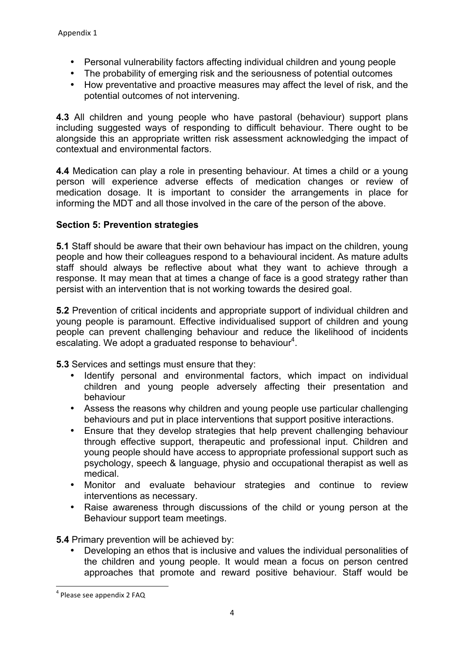- Personal vulnerability factors affecting individual children and young people
- The probability of emerging risk and the seriousness of potential outcomes
- How preventative and proactive measures may affect the level of risk, and the potential outcomes of not intervening.

**4.3** All children and young people who have pastoral (behaviour) support plans including suggested ways of responding to difficult behaviour. There ought to be alongside this an appropriate written risk assessment acknowledging the impact of contextual and environmental factors.

**4.4** Medication can play a role in presenting behaviour. At times a child or a young person will experience adverse effects of medication changes or review of medication dosage. It is important to consider the arrangements in place for informing the MDT and all those involved in the care of the person of the above.

## **Section 5: Prevention strategies**

**5.1** Staff should be aware that their own behaviour has impact on the children, young people and how their colleagues respond to a behavioural incident. As mature adults staff should always be reflective about what they want to achieve through a response. It may mean that at times a change of face is a good strategy rather than persist with an intervention that is not working towards the desired goal.

**5.2** Prevention of critical incidents and appropriate support of individual children and young people is paramount. Effective individualised support of children and young people can prevent challenging behaviour and reduce the likelihood of incidents escalating. We adopt a graduated response to behaviour<sup>4</sup>.

**5.3** Services and settings must ensure that they:

- Identify personal and environmental factors, which impact on individual children and young people adversely affecting their presentation and behaviour
- Assess the reasons why children and young people use particular challenging behaviours and put in place interventions that support positive interactions.
- Ensure that they develop strategies that help prevent challenging behaviour through effective support, therapeutic and professional input. Children and young people should have access to appropriate professional support such as psychology, speech & language, physio and occupational therapist as well as medical.
- Monitor and evaluate behaviour strategies and continue to review interventions as necessary.
- Raise awareness through discussions of the child or young person at the Behaviour support team meetings.

**5.4** Primary prevention will be achieved by:

• Developing an ethos that is inclusive and values the individual personalities of the children and young people. It would mean a focus on person centred approaches that promote and reward positive behaviour. Staff would be

<sup>&</sup>lt;u> 1989 - Jan Samuel Barbara, político establecido de la provincia de la provincia de la provincia de la provinci</u>  $4$  Please see appendix 2 FAQ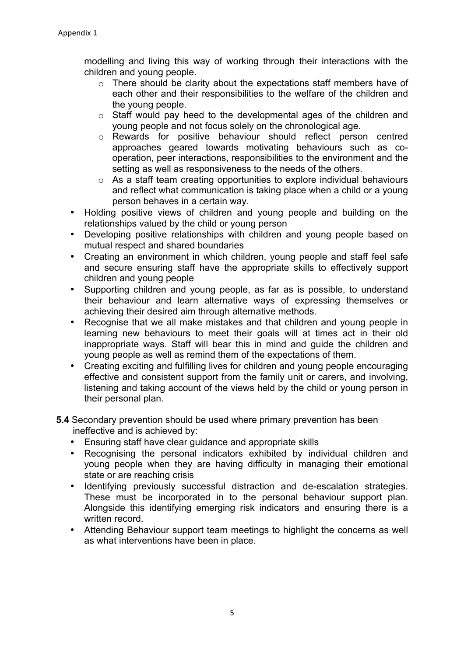modelling and living this way of working through their interactions with the children and young people.

- o There should be clarity about the expectations staff members have of each other and their responsibilities to the welfare of the children and the young people.
- o Staff would pay heed to the developmental ages of the children and young people and not focus solely on the chronological age.
- o Rewards for positive behaviour should reflect person centred approaches geared towards motivating behaviours such as cooperation, peer interactions, responsibilities to the environment and the setting as well as responsiveness to the needs of the others.
- o As a staff team creating opportunities to explore individual behaviours and reflect what communication is taking place when a child or a young person behaves in a certain way.
- Holding positive views of children and young people and building on the relationships valued by the child or young person
- Developing positive relationships with children and young people based on mutual respect and shared boundaries
- Creating an environment in which children, young people and staff feel safe and secure ensuring staff have the appropriate skills to effectively support children and young people
- Supporting children and young people, as far as is possible, to understand their behaviour and learn alternative ways of expressing themselves or achieving their desired aim through alternative methods.
- Recognise that we all make mistakes and that children and young people in learning new behaviours to meet their goals will at times act in their old inappropriate ways. Staff will bear this in mind and guide the children and young people as well as remind them of the expectations of them.
- Creating exciting and fulfilling lives for children and young people encouraging effective and consistent support from the family unit or carers, and involving, listening and taking account of the views held by the child or young person in their personal plan.
- **5.4** Secondary prevention should be used where primary prevention has been ineffective and is achieved by:
	- Ensuring staff have clear guidance and appropriate skills
	- Recognising the personal indicators exhibited by individual children and young people when they are having difficulty in managing their emotional state or are reaching crisis
	- Identifying previously successful distraction and de-escalation strategies. These must be incorporated in to the personal behaviour support plan. Alongside this identifying emerging risk indicators and ensuring there is a written record.
	- Attending Behaviour support team meetings to highlight the concerns as well as what interventions have been in place.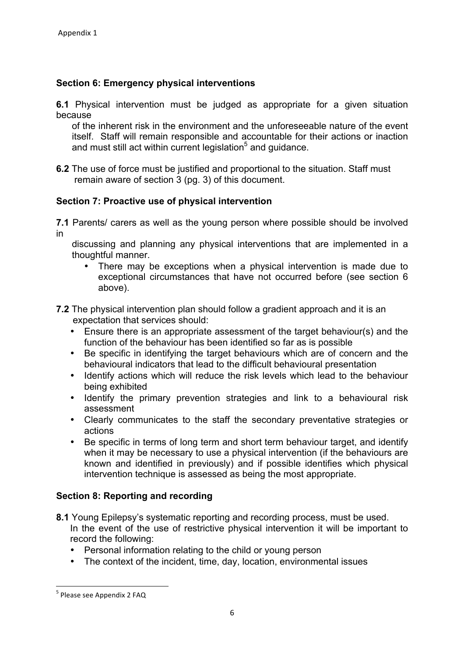## **Section 6: Emergency physical interventions**

**6.1** Physical intervention must be judged as appropriate for a given situation because

of the inherent risk in the environment and the unforeseeable nature of the event itself. Staff will remain responsible and accountable for their actions or inaction and must still act within current legislation<sup>5</sup> and guidance.

**6.2** The use of force must be justified and proportional to the situation. Staff must remain aware of section 3 (pg. 3) of this document.

## **Section 7: Proactive use of physical intervention**

**7.1** Parents/ carers as well as the young person where possible should be involved in

discussing and planning any physical interventions that are implemented in a thoughtful manner.

- There may be exceptions when a physical intervention is made due to exceptional circumstances that have not occurred before (see section 6 above).
- **7.2** The physical intervention plan should follow a gradient approach and it is an expectation that services should:
	- Ensure there is an appropriate assessment of the target behaviour(s) and the function of the behaviour has been identified so far as is possible
	- Be specific in identifying the target behaviours which are of concern and the behavioural indicators that lead to the difficult behavioural presentation
	- Identify actions which will reduce the risk levels which lead to the behaviour being exhibited
	- Identify the primary prevention strategies and link to a behavioural risk assessment
	- Clearly communicates to the staff the secondary preventative strategies or actions
	- Be specific in terms of long term and short term behaviour target, and identify when it may be necessary to use a physical intervention (if the behaviours are known and identified in previously) and if possible identifies which physical intervention technique is assessed as being the most appropriate.

#### **Section 8: Reporting and recording**

- **8.1** Young Epilepsy's systematic reporting and recording process, must be used. In the event of the use of restrictive physical intervention it will be important to record the following:
	- Personal information relating to the child or young person
	- The context of the incident, time, day, location, environmental issues

<u> 1989 - Jan Samuel Barbara, político establecido de la provincia de la provincia de la provincia de la provinci</u>

<sup>&</sup>lt;sup>5</sup> Please see Appendix 2 FAQ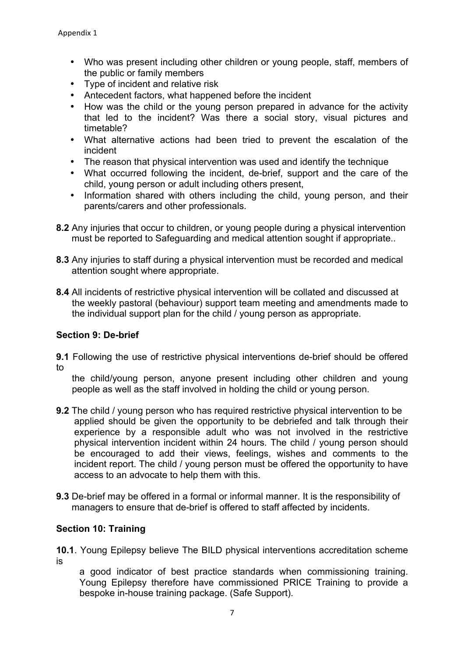- Who was present including other children or young people, staff, members of the public or family members
- Type of incident and relative risk
- Antecedent factors, what happened before the incident
- How was the child or the young person prepared in advance for the activity that led to the incident? Was there a social story, visual pictures and timetable?
- What alternative actions had been tried to prevent the escalation of the incident
- The reason that physical intervention was used and identify the technique
- What occurred following the incident, de-brief, support and the care of the child, young person or adult including others present,
- Information shared with others including the child, young person, and their parents/carers and other professionals.
- **8.2** Any injuries that occur to children, or young people during a physical intervention must be reported to Safeguarding and medical attention sought if appropriate..
- **8.3** Any injuries to staff during a physical intervention must be recorded and medical attention sought where appropriate.
- **8.4** All incidents of restrictive physical intervention will be collated and discussed at the weekly pastoral (behaviour) support team meeting and amendments made to the individual support plan for the child / young person as appropriate.

## **Section 9: De-brief**

**9.1** Following the use of restrictive physical interventions de-brief should be offered to

the child/young person, anyone present including other children and young people as well as the staff involved in holding the child or young person.

- **9.2** The child / young person who has required restrictive physical intervention to be applied should be given the opportunity to be debriefed and talk through their experience by a responsible adult who was not involved in the restrictive physical intervention incident within 24 hours. The child / young person should be encouraged to add their views, feelings, wishes and comments to the incident report. The child / young person must be offered the opportunity to have access to an advocate to help them with this.
- **9.3** De-brief may be offered in a formal or informal manner. It is the responsibility of managers to ensure that de-brief is offered to staff affected by incidents.

## **Section 10: Training**

**10.1**. Young Epilepsy believe The BILD physical interventions accreditation scheme is

a good indicator of best practice standards when commissioning training. Young Epilepsy therefore have commissioned PRICE Training to provide a bespoke in-house training package. (Safe Support).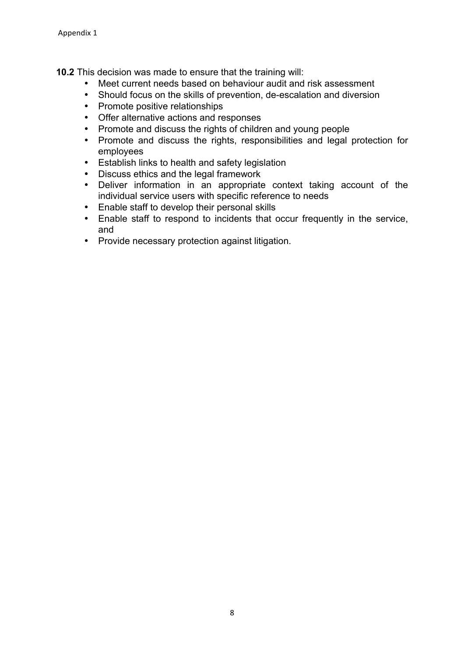**10.2** This decision was made to ensure that the training will:

- Meet current needs based on behaviour audit and risk assessment
- Should focus on the skills of prevention, de-escalation and diversion
- Promote positive relationships
- Offer alternative actions and responses
- Promote and discuss the rights of children and young people
- Promote and discuss the rights, responsibilities and legal protection for employees
- Establish links to health and safety legislation
- Discuss ethics and the legal framework
- Deliver information in an appropriate context taking account of the individual service users with specific reference to needs
- Enable staff to develop their personal skills
- Enable staff to respond to incidents that occur frequently in the service, and
- Provide necessary protection against litigation.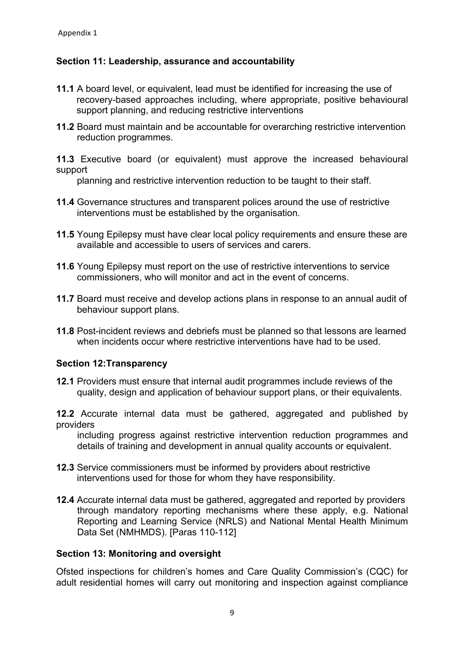## **Section 11: Leadership, assurance and accountability**

- **11.1** A board level, or equivalent, lead must be identified for increasing the use of recovery-based approaches including, where appropriate, positive behavioural support planning, and reducing restrictive interventions
- **11.2** Board must maintain and be accountable for overarching restrictive intervention reduction programmes.

**11.3** Executive board (or equivalent) must approve the increased behavioural support

planning and restrictive intervention reduction to be taught to their staff.

- **11.4** Governance structures and transparent polices around the use of restrictive interventions must be established by the organisation.
- **11.5** Young Epilepsy must have clear local policy requirements and ensure these are available and accessible to users of services and carers.
- **11.6** Young Epilepsy must report on the use of restrictive interventions to service commissioners, who will monitor and act in the event of concerns.
- **11.7** Board must receive and develop actions plans in response to an annual audit of behaviour support plans.
- **11.8** Post-incident reviews and debriefs must be planned so that lessons are learned when incidents occur where restrictive interventions have had to be used.

#### **Section 12:Transparency**

**12.1** Providers must ensure that internal audit programmes include reviews of the quality, design and application of behaviour support plans, or their equivalents.

**12.2** Accurate internal data must be gathered, aggregated and published by providers

including progress against restrictive intervention reduction programmes and details of training and development in annual quality accounts or equivalent.

- **12.3** Service commissioners must be informed by providers about restrictive interventions used for those for whom they have responsibility.
- **12.4** Accurate internal data must be gathered, aggregated and reported by providers through mandatory reporting mechanisms where these apply, e.g. National Reporting and Learning Service (NRLS) and National Mental Health Minimum Data Set (NMHMDS). [Paras 110-112]

#### **Section 13: Monitoring and oversight**

Ofsted inspections for children's homes and Care Quality Commission's (CQC) for adult residential homes will carry out monitoring and inspection against compliance